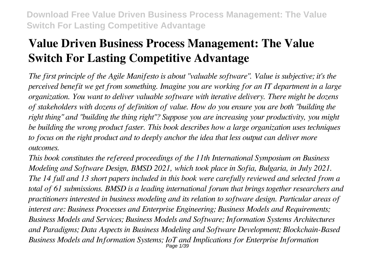# **Value Driven Business Process Management: The Value Switch For Lasting Competitive Advantage**

*The first principle of the Agile Manifesto is about "valuable software". Value is subjective; it's the perceived benefit we get from something. Imagine you are working for an IT department in a large organization. You want to deliver valuable software with iterative delivery. There might be dozens of stakeholders with dozens of definition of value. How do you ensure you are both "building the right thing" and "building the thing right"? Suppose you are increasing your productivity, you might be building the wrong product faster. This book describes how a large organization uses techniques to focus on the right product and to deeply anchor the idea that less output can deliver more outcomes.*

*This book constitutes the refereed proceedings of the 11th International Symposium on Business Modeling and Software Design, BMSD 2021, which took place in Sofia, Bulgaria, in July 2021. The 14 full and 13 short papers included in this book were carefully reviewed and selected from a total of 61 submissions. BMSD is a leading international forum that brings together researchers and practitioners interested in business modeling and its relation to software design. Particular areas of interest are: Business Processes and Enterprise Engineering; Business Models and Requirements; Business Models and Services; Business Models and Software; Information Systems Architectures and Paradigms; Data Aspects in Business Modeling and Software Development; Blockchain-Based Business Models and Information Systems; IoT and Implications for Enterprise Information* Page 1/39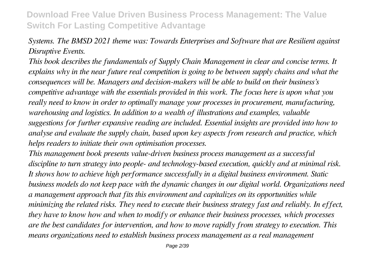#### *Systems. The BMSD 2021 theme was: Towards Enterprises and Software that are Resilient against Disruptive Events.*

*This book describes the fundamentals of Supply Chain Management in clear and concise terms. It explains why in the near future real competition is going to be between supply chains and what the consequences will be. Managers and decision-makers will be able to build on their business's competitive advantage with the essentials provided in this work. The focus here is upon what you really need to know in order to optimally manage your processes in procurement, manufacturing, warehousing and logistics. In addition to a wealth of illustrations and examples, valuable suggestions for further expansive reading are included. Essential insights are provided into how to analyse and evaluate the supply chain, based upon key aspects from research and practice, which helps readers to initiate their own optimisation processes.*

*This management book presents value-driven business process management as a successful discipline to turn strategy into people- and technology-based execution, quickly and at minimal risk. It shows how to achieve high performance successfully in a digital business environment. Static business models do not keep pace with the dynamic changes in our digital world. Organizations need a management approach that fits this environment and capitalizes on its opportunities while minimizing the related risks. They need to execute their business strategy fast and reliably. In effect, they have to know how and when to modify or enhance their business processes, which processes are the best candidates for intervention, and how to move rapidly from strategy to execution. This means organizations need to establish business process management as a real management*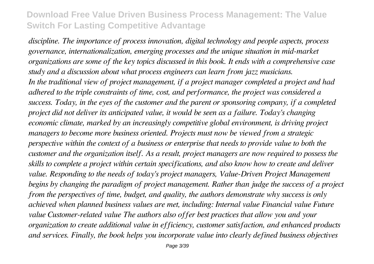*discipline. The importance of process innovation, digital technology and people aspects, process governance, internationalization, emerging processes and the unique situation in mid-market organizations are some of the key topics discussed in this book. It ends with a comprehensive case study and a discussion about what process engineers can learn from jazz musicians. In the traditional view of project management, if a project manager completed a project and had adhered to the triple constraints of time, cost, and performance, the project was considered a success. Today, in the eyes of the customer and the parent or sponsoring company, if a completed project did not deliver its anticipated value, it would be seen as a failure. Today's changing economic climate, marked by an increasingly competitive global environment, is driving project managers to become more business oriented. Projects must now be viewed from a strategic perspective within the context of a business or enterprise that needs to provide value to both the customer and the organization itself. As a result, project managers are now required to possess the skills to complete a project within certain specifications, and also know how to create and deliver value. Responding to the needs of today's project managers, Value-Driven Project Management begins by changing the paradigm of project management. Rather than judge the success of a project from the perspectives of time, budget, and quality, the authors demonstrate why success is only achieved when planned business values are met, including: Internal value Financial value Future value Customer-related value The authors also offer best practices that allow you and your organization to create additional value in efficiency, customer satisfaction, and enhanced products and services. Finally, the book helps you incorporate value into clearly defined business objectives*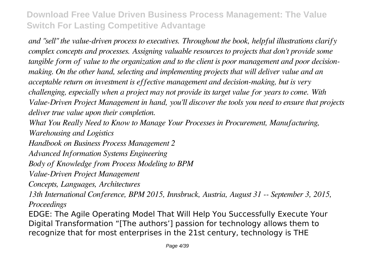*and "sell" the value-driven process to executives. Throughout the book, helpful illustrations clarify complex concepts and processes. Assigning valuable resources to projects that don't provide some tangible form of value to the organization and to the client is poor management and poor decisionmaking. On the other hand, selecting and implementing projects that will deliver value and an acceptable return on investment is effective management and decision-making, but is very challenging, especially when a project may not provide its target value for years to come. With Value-Driven Project Management in hand, you'll discover the tools you need to ensure that projects deliver true value upon their completion.*

*What You Really Need to Know to Manage Your Processes in Procurement, Manufacturing, Warehousing and Logistics*

*Handbook on Business Process Management 2*

*Advanced Information Systems Engineering*

*Body of Knowledge from Process Modeling to BPM*

*Value-Driven Project Management*

*Concepts, Languages, Architectures*

*13th International Conference, BPM 2015, Innsbruck, Austria, August 31 -- September 3, 2015, Proceedings*

EDGE: The Agile Operating Model That Will Help You Successfully Execute Your Digital Transformation "[The authors'] passion for technology allows them to recognize that for most enterprises in the 21st century, technology is THE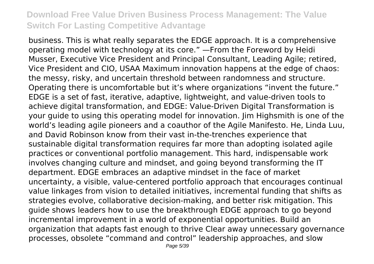business. This is what really separates the EDGE approach. It is a comprehensive operating model with technology at its core." —From the Foreword by Heidi Musser, Executive Vice President and Principal Consultant, Leading Agile; retired, Vice President and CIO, USAA Maximum innovation happens at the edge of chaos: the messy, risky, and uncertain threshold between randomness and structure. Operating there is uncomfortable but it's where organizations "invent the future." EDGE is a set of fast, iterative, adaptive, lightweight, and value-driven tools to achieve digital transformation, and EDGE: Value-Driven Digital Transformation is your guide to using this operating model for innovation. Jim Highsmith is one of the world's leading agile pioneers and a coauthor of the Agile Manifesto. He, Linda Luu, and David Robinson know from their vast in-the-trenches experience that sustainable digital transformation requires far more than adopting isolated agile practices or conventional portfolio management. This hard, indispensable work involves changing culture and mindset, and going beyond transforming the IT department. EDGE embraces an adaptive mindset in the face of market uncertainty, a visible, value-centered portfolio approach that encourages continual value linkages from vision to detailed initiatives, incremental funding that shifts as strategies evolve, collaborative decision-making, and better risk mitigation. This guide shows leaders how to use the breakthrough EDGE approach to go beyond incremental improvement in a world of exponential opportunities. Build an organization that adapts fast enough to thrive Clear away unnecessary governance processes, obsolete "command and control" leadership approaches, and slow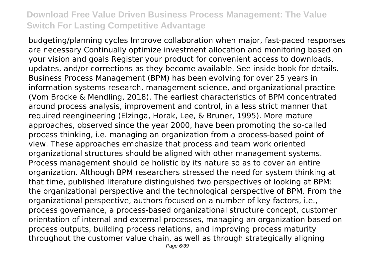budgeting/planning cycles Improve collaboration when major, fast-paced responses are necessary Continually optimize investment allocation and monitoring based on your vision and goals Register your product for convenient access to downloads, updates, and/or corrections as they become available. See inside book for details. Business Process Management (BPM) has been evolving for over 25 years in information systems research, management science, and organizational practice (Vom Brocke & Mendling, 2018). The earliest characteristics of BPM concentrated around process analysis, improvement and control, in a less strict manner that required reengineering (Elzinga, Horak, Lee, & Bruner, 1995). More mature approaches, observed since the year 2000, have been promoting the so-called process thinking, i.e. managing an organization from a process-based point of view. These approaches emphasize that process and team work oriented organizational structures should be aligned with other management systems. Process management should be holistic by its nature so as to cover an entire organization. Although BPM researchers stressed the need for system thinking at that time, published literature distinguished two perspectives of looking at BPM: the organizational perspective and the technological perspective of BPM. From the organizational perspective, authors focused on a number of key factors, i.e., process governance, a process-based organizational structure concept, customer orientation of internal and external processes, managing an organization based on process outputs, building process relations, and improving process maturity throughout the customer value chain, as well as through strategically aligning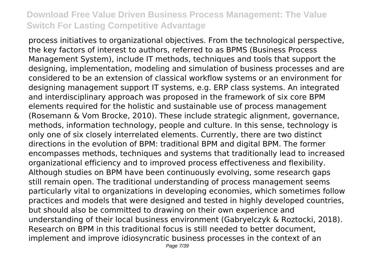process initiatives to organizational objectives. From the technological perspective, the key factors of interest to authors, referred to as BPMS (Business Process Management System), include IT methods, techniques and tools that support the designing, implementation, modeling and simulation of business processes and are considered to be an extension of classical workflow systems or an environment for designing management support IT systems, e.g. ERP class systems. An integrated and interdisciplinary approach was proposed in the framework of six core BPM elements required for the holistic and sustainable use of process management (Rosemann & Vom Brocke, 2010). These include strategic alignment, governance, methods, information technology, people and culture. In this sense, technology is only one of six closely interrelated elements. Currently, there are two distinct directions in the evolution of BPM: traditional BPM and digital BPM. The former encompasses methods, techniques and systems that traditionally lead to increased organizational efficiency and to improved process effectiveness and flexibility. Although studies on BPM have been continuously evolving, some research gaps still remain open. The traditional understanding of process management seems particularly vital to organizations in developing economies, which sometimes follow practices and models that were designed and tested in highly developed countries, but should also be committed to drawing on their own experience and understanding of their local business environment (Gabryelczyk & Roztocki, 2018). Research on BPM in this traditional focus is still needed to better document, implement and improve idiosyncratic business processes in the context of an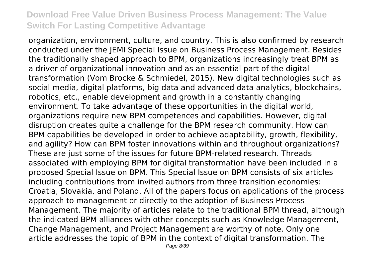organization, environment, culture, and country. This is also confirmed by research conducted under the JEMI Special Issue on Business Process Management. Besides the traditionally shaped approach to BPM, organizations increasingly treat BPM as a driver of organizational innovation and as an essential part of the digital transformation (Vom Brocke & Schmiedel, 2015). New digital technologies such as social media, digital platforms, big data and advanced data analytics, blockchains, robotics, etc., enable development and growth in a constantly changing environment. To take advantage of these opportunities in the digital world, organizations require new BPM competences and capabilities. However, digital disruption creates quite a challenge for the BPM research community. How can BPM capabilities be developed in order to achieve adaptability, growth, flexibility, and agility? How can BPM foster innovations within and throughout organizations? These are just some of the issues for future BPM-related research. Threads associated with employing BPM for digital transformation have been included in a proposed Special Issue on BPM. This Special Issue on BPM consists of six articles including contributions from invited authors from three transition economies: Croatia, Slovakia, and Poland. All of the papers focus on applications of the process approach to management or directly to the adoption of Business Process Management. The majority of articles relate to the traditional BPM thread, although the indicated BPM alliances with other concepts such as Knowledge Management, Change Management, and Project Management are worthy of note. Only one article addresses the topic of BPM in the context of digital transformation. The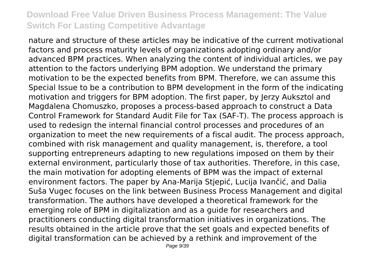nature and structure of these articles may be indicative of the current motivational factors and process maturity levels of organizations adopting ordinary and/or advanced BPM practices. When analyzing the content of individual articles, we pay attention to the factors underlying BPM adoption. We understand the primary motivation to be the expected benefits from BPM. Therefore, we can assume this Special Issue to be a contribution to BPM development in the form of the indicating motivation and triggers for BPM adoption. The first paper, by Jerzy Auksztol and Magdalena Chomuszko, proposes a process-based approach to construct a Data Control Framework for Standard Audit File for Tax (SAF-T). The process approach is used to redesign the internal financial control processes and procedures of an organization to meet the new requirements of a fiscal audit. The process approach, combined with risk management and quality management, is, therefore, a tool supporting entrepreneurs adapting to new regulations imposed on them by their external environment, particularly those of tax authorities. Therefore, in this case, the main motivation for adopting elements of BPM was the impact of external environment factors. The paper by Ana-Marija Stjepić, Lucija Ivančić, and Dalia Suša Vugec focuses on the link between Business Process Management and digital transformation. The authors have developed a theoretical framework for the emerging role of BPM in digitalization and as a guide for researchers and practitioners conducting digital transformation initiatives in organizations. The results obtained in the article prove that the set goals and expected benefits of digital transformation can be achieved by a rethink and improvement of the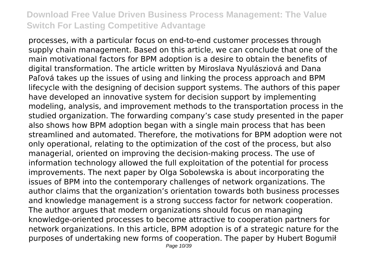processes, with a particular focus on end-to-end customer processes through supply chain management. Based on this article, we can conclude that one of the main motivational factors for BPM adoption is a desire to obtain the benefits of digital transformation. The article written by Miroslava Nyulásziová and Dana Paľová takes up the issues of using and linking the process approach and BPM lifecycle with the designing of decision support systems. The authors of this paper have developed an innovative system for decision support by implementing modeling, analysis, and improvement methods to the transportation process in the studied organization. The forwarding company's case study presented in the paper also shows how BPM adoption began with a single main process that has been streamlined and automated. Therefore, the motivations for BPM adoption were not only operational, relating to the optimization of the cost of the process, but also managerial, oriented on improving the decision-making process. The use of information technology allowed the full exploitation of the potential for process improvements. The next paper by Olga Sobolewska is about incorporating the issues of BPM into the contemporary challenges of network organizations. The author claims that the organization's orientation towards both business processes and knowledge management is a strong success factor for network cooperation. The author argues that modern organizations should focus on managing knowledge-oriented processes to become attractive to cooperation partners for network organizations. In this article, BPM adoption is of a strategic nature for the purposes of undertaking new forms of cooperation. The paper by Hubert Bogumił Page 10/39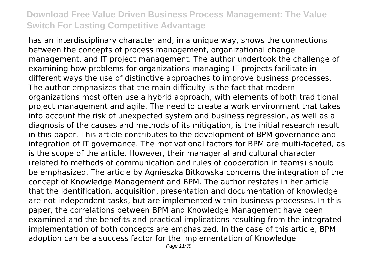has an interdisciplinary character and, in a unique way, shows the connections between the concepts of process management, organizational change management, and IT project management. The author undertook the challenge of examining how problems for organizations managing IT projects facilitate in different ways the use of distinctive approaches to improve business processes. The author emphasizes that the main difficulty is the fact that modern organizations most often use a hybrid approach, with elements of both traditional project management and agile. The need to create a work environment that takes into account the risk of unexpected system and business regression, as well as a diagnosis of the causes and methods of its mitigation, is the initial research result in this paper. This article contributes to the development of BPM governance and integration of IT governance. The motivational factors for BPM are multi-faceted, as is the scope of the article. However, their managerial and cultural character (related to methods of communication and rules of cooperation in teams) should be emphasized. The article by Agnieszka Bitkowska concerns the integration of the concept of Knowledge Management and BPM. The author restates in her article that the identification, acquisition, presentation and documentation of knowledge are not independent tasks, but are implemented within business processes. In this paper, the correlations between BPM and Knowledge Management have been examined and the benefits and practical implications resulting from the integrated implementation of both concepts are emphasized. In the case of this article, BPM adoption can be a success factor for the implementation of Knowledge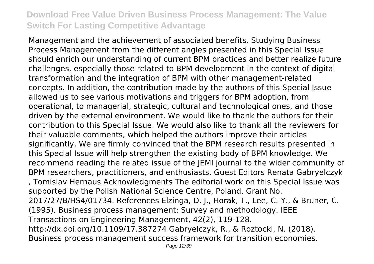Management and the achievement of associated benefits. Studying Business Process Management from the different angles presented in this Special Issue should enrich our understanding of current BPM practices and better realize future challenges, especially those related to BPM development in the context of digital transformation and the integration of BPM with other management-related concepts. In addition, the contribution made by the authors of this Special Issue allowed us to see various motivations and triggers for BPM adoption, from operational, to managerial, strategic, cultural and technological ones, and those driven by the external environment. We would like to thank the authors for their contribution to this Special Issue. We would also like to thank all the reviewers for their valuable comments, which helped the authors improve their articles significantly. We are firmly convinced that the BPM research results presented in this Special Issue will help strengthen the existing body of BPM knowledge. We recommend reading the related issue of the JEMI journal to the wider community of BPM researchers, practitioners, and enthusiasts. Guest Editors Renata Gabryelczyk , Tomislav Hernaus Acknowledgments The editorial work on this Special Issue was supported by the Polish National Science Centre, Poland, Grant No. 2017/27/B/HS4/01734. References Elzinga, D. J., Horak, T., Lee, C.-Y., & Bruner, C. (1995). Business process management: Survey and methodology. IEEE Transactions on Engineering Management, 42(2), 119-128. http://dx.doi.org/10.1109/17.387274 Gabryelczyk, R., & Roztocki, N. (2018). Business process management success framework for transition economies.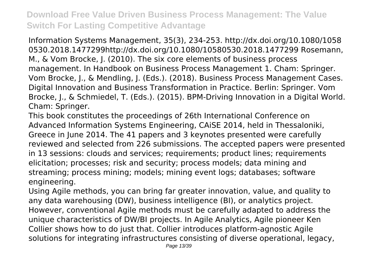Information Systems Management, 35(3), 234-253. http://dx.doi.org/10.1080/1058 0530.2018.1477299http://dx.doi.org/10.1080/10580530.2018.1477299 Rosemann, M., & Vom Brocke, J. (2010). The six core elements of business process management. In Handbook on Business Process Management 1. Cham: Springer. Vom Brocke, J., & Mendling, J. (Eds.). (2018). Business Process Management Cases. Digital Innovation and Business Transformation in Practice. Berlin: Springer. Vom Brocke, J., & Schmiedel, T. (Eds.). (2015). BPM-Driving Innovation in a Digital World. Cham: Springer.

This book constitutes the proceedings of 26th International Conference on Advanced Information Systems Engineering, CAiSE 2014, held in Thessaloniki, Greece in June 2014. The 41 papers and 3 keynotes presented were carefully reviewed and selected from 226 submissions. The accepted papers were presented in 13 sessions: clouds and services; requirements; product lines; requirements elicitation; processes; risk and security; process models; data mining and streaming; process mining; models; mining event logs; databases; software engineering.

Using Agile methods, you can bring far greater innovation, value, and quality to any data warehousing (DW), business intelligence (BI), or analytics project. However, conventional Agile methods must be carefully adapted to address the unique characteristics of DW/BI projects. In Agile Analytics, Agile pioneer Ken Collier shows how to do just that. Collier introduces platform-agnostic Agile solutions for integrating infrastructures consisting of diverse operational, legacy,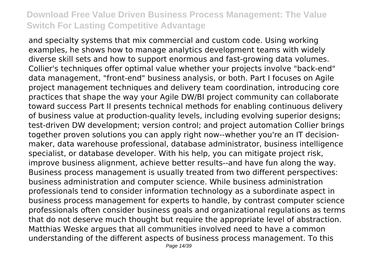and specialty systems that mix commercial and custom code. Using working examples, he shows how to manage analytics development teams with widely diverse skill sets and how to support enormous and fast-growing data volumes. Collier's techniques offer optimal value whether your projects involve "back-end" data management, "front-end" business analysis, or both. Part I focuses on Agile project management techniques and delivery team coordination, introducing core practices that shape the way your Agile DW/BI project community can collaborate toward success Part II presents technical methods for enabling continuous delivery of business value at production-quality levels, including evolving superior designs; test-driven DW development; version control; and project automation Collier brings together proven solutions you can apply right now--whether you're an IT decisionmaker, data warehouse professional, database administrator, business intelligence specialist, or database developer. With his help, you can mitigate project risk, improve business alignment, achieve better results--and have fun along the way. Business process management is usually treated from two different perspectives: business administration and computer science. While business administration professionals tend to consider information technology as a subordinate aspect in business process management for experts to handle, by contrast computer science professionals often consider business goals and organizational regulations as terms that do not deserve much thought but require the appropriate level of abstraction. Matthias Weske argues that all communities involved need to have a common understanding of the different aspects of business process management. To this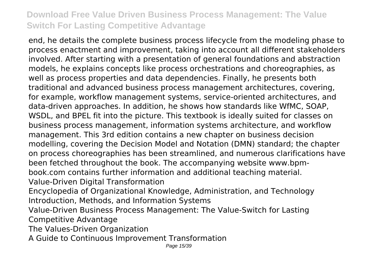end, he details the complete business process lifecycle from the modeling phase to process enactment and improvement, taking into account all different stakeholders involved. After starting with a presentation of general foundations and abstraction models, he explains concepts like process orchestrations and choreographies, as well as process properties and data dependencies. Finally, he presents both traditional and advanced business process management architectures, covering, for example, workflow management systems, service-oriented architectures, and data-driven approaches. In addition, he shows how standards like WfMC, SOAP, WSDL, and BPEL fit into the picture. This textbook is ideally suited for classes on business process management, information systems architecture, and workflow management. This 3rd edition contains a new chapter on business decision modelling, covering the Decision Model and Notation (DMN) standard; the chapter on process choreographies has been streamlined, and numerous clarifications have been fetched throughout the book. The accompanying website www.bpmbook.com contains further information and additional teaching material. Value-Driven Digital Transformation Encyclopedia of Organizational Knowledge, Administration, and Technology Introduction, Methods, and Information Systems

Value-Driven Business Process Management: The Value-Switch for Lasting Competitive Advantage

The Values-Driven Organization

A Guide to Continuous Improvement Transformation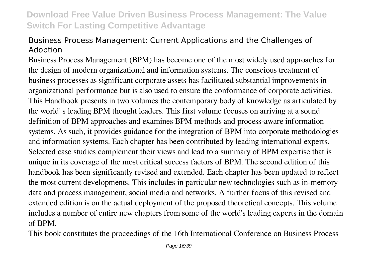#### Business Process Management: Current Applications and the Challenges of Adoption

Business Process Management (BPM) has become one of the most widely used approaches for the design of modern organizational and information systems. The conscious treatment of business processes as significant corporate assets has facilitated substantial improvements in organizational performance but is also used to ensure the conformance of corporate activities. This Handbook presents in two volumes the contemporary body of knowledge as articulated by the world' s leading BPM thought leaders. This first volume focuses on arriving at a sound definition of BPM approaches and examines BPM methods and process-aware information systems. As such, it provides guidance for the integration of BPM into corporate methodologies and information systems. Each chapter has been contributed by leading international experts. Selected case studies complement their views and lead to a summary of BPM expertise that is unique in its coverage of the most critical success factors of BPM. The second edition of this handbook has been significantly revised and extended. Each chapter has been updated to reflect the most current developments. This includes in particular new technologies such as in-memory data and process management, social media and networks. A further focus of this revised and extended edition is on the actual deployment of the proposed theoretical concepts. This volume includes a number of entire new chapters from some of the world's leading experts in the domain of BPM.

This book constitutes the proceedings of the 16th International Conference on Business Process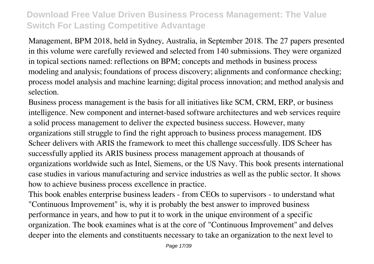Management, BPM 2018, held in Sydney, Australia, in September 2018. The 27 papers presented in this volume were carefully reviewed and selected from 140 submissions. They were organized in topical sections named: reflections on BPM; concepts and methods in business process modeling and analysis; foundations of process discovery; alignments and conformance checking; process model analysis and machine learning; digital process innovation; and method analysis and selection.

Business process management is the basis for all initiatives like SCM, CRM, ERP, or business intelligence. New component and internet-based software architectures and web services require a solid process management to deliver the expected business success. However, many organizations still struggle to find the right approach to business process management. IDS Scheer delivers with ARIS the framework to meet this challenge successfully. IDS Scheer has successfully applied its ARIS business process management approach at thousands of organizations worldwide such as Intel, Siemens, or the US Navy. This book presents international case studies in various manufacturing and service industries as well as the public sector. It shows how to achieve business process excellence in practice.

This book enables enterprise business leaders - from CEOs to supervisors - to understand what "Continuous Improvement" is, why it is probably the best answer to improved business performance in years, and how to put it to work in the unique environment of a specific organization. The book examines what is at the core of "Continuous Improvement" and delves deeper into the elements and constituents necessary to take an organization to the next level to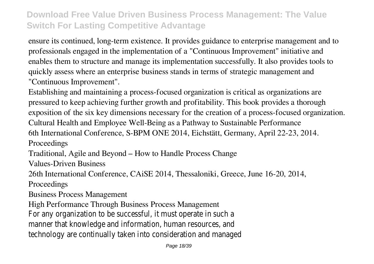ensure its continued, long-term existence. It provides guidance to enterprise management and to professionals engaged in the implementation of a "Continuous Improvement" initiative and enables them to structure and manage its implementation successfully. It also provides tools to quickly assess where an enterprise business stands in terms of strategic management and "Continuous Improvement".

Establishing and maintaining a process-focused organization is critical as organizations are pressured to keep achieving further growth and profitability. This book provides a thorough exposition of the six key dimensions necessary for the creation of a process-focused organization. Cultural Health and Employee Well-Being as a Pathway to Sustainable Performance 6th International Conference, S-BPM ONE 2014, Eichstätt, Germany, April 22-23, 2014. Proceedings

Traditional, Agile and Beyond – How to Handle Process Change

Values-Driven Business

26th International Conference, CAiSE 2014, Thessaloniki, Greece, June 16-20, 2014,

Proceedings

Business Process Management

High Performance Through Business Process Management

For any organization to be successful, it must operate in such a manner that knowledge and information, human resources, and technology are continually taken into consideration and managed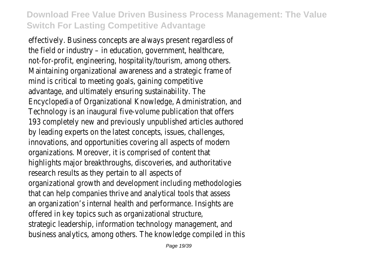effectively. Business concepts are always present regardless of the field or industry – in education, government, healthcare, not-for-profit, engineering, hospitality/tourism, among others. Maintaining organizational awareness and a strategic frame of mind is critical to meeting goals, gaining competitive advantage, and ultimately ensuring sustainability. The Encyclopedia of Organizational Knowledge, Administration, and Technology is an inaugural five-volume publication that offers 193 completely new and previously unpublished articles authored by leading experts on the latest concepts, issues, challenges, innovations, and opportunities covering all aspects of modern organizations. Moreover, it is comprised of content that highlights major breakthroughs, discoveries, and authoritative research results as they pertain to all aspects of organizational growth and development including methodologies that can help companies thrive and analytical tools that assess an organization's internal health and performance. Insights are offered in key topics such as organizational structure, strategic leadership, information technology management, and business analytics, among others. The knowledge compiled in this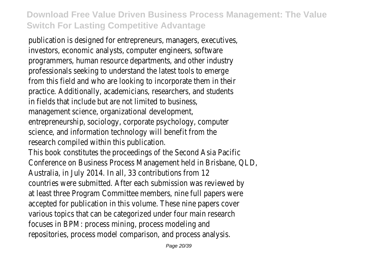publication is designed for entrepreneurs, managers, executives, investors, economic analysts, computer engineers, software programmers, human resource departments, and other industry professionals seeking to understand the latest tools to emerge from this field and who are looking to incorporate them in their practice. Additionally, academicians, researchers, and students in fields that include but are not limited to business, management science, organizational development,

- entrepreneurship, sociology, corporate psychology, computer science, and information technology will benefit from the research compiled within this publication.
- This book constitutes the proceedings of the Second Asia Pacific Conference on Business Process Management held in Brisbane, QLD, Australia, in July 2014. In all, 33 contributions from 12 countries were submitted. After each submission was reviewed by at least three Program Committee members, nine full papers were accepted for publication in this volume. These nine papers cover various topics that can be categorized under four main research focuses in BPM: process mining, process modeling and repositories, process model comparison, and process analysis.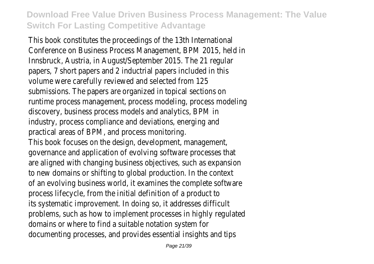This book constitutes the proceedings of the 13th International Conference on Business Process Management, BPM 2015, held in Innsbruck, Austria, in August/September 2015. The 21 regular papers, 7 short papers and 2 inductrial papers included in this volume were carefully reviewed and selected from 125 submissions. The papers are organized in topical sections on runtime process management, process modeling, process modeling discovery, business process models and analytics, BPM in industry, process compliance and deviations, energing and practical areas of BPM, and process monitoring. This book focuses on the design, development, management, governance and application of evolving software processes that are aligned with changing business objectives, such as expansion to new domains or shifting to global production. In the context of an evolving business world, it examines the complete software process lifecycle, from the initial definition of a product to its systematic improvement. In doing so, it addresses difficult problems, such as how to implement processes in highly regulated domains or where to find a suitable notation system for documenting processes, and provides essential insights and tips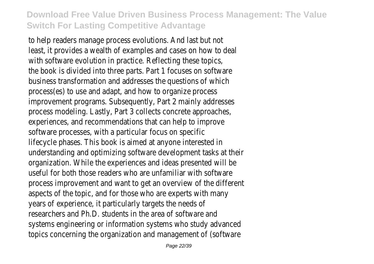to help readers manage process evolutions. And last but not least, it provides a wealth of examples and cases on how to deal with software evolution in practice. Reflecting these topics the book is divided into three parts. Part 1 focuses on software business transformation and addresses the questions of which process(es) to use and adapt, and how to organize process improvement programs. Subsequently, Part 2 mainly addresses process modeling. Lastly, Part 3 collects concrete approaches, experiences, and recommendations that can help to improve software processes, with a particular focus on specific lifecycle phases. This book is aimed at anyone interested in understanding and optimizing software development tasks at their organization. While the experiences and ideas presented will be useful for both those readers who are unfamiliar with software process improvement and want to get an overview of the different aspects of the topic, and for those who are experts with many years of experience, it particularly targets the needs of researchers and Ph.D. students in the area of software and systems engineering or information systems who study advanced topics concerning the organization and management of (software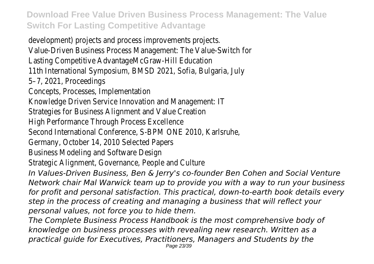development) projects and process improvements projects. Value-Driven Business Process Management: The Value-Switch for Lasting Competitive AdvantageMcGraw-Hill Education 11th International Symposium, BMSD 2021, Sofia, Bulgaria, July 5–7, 2021, Proceedings Concepts, Processes, Implementation Knowledge Driven Service Innovation and Management: IT Strategies for Business Alignment and Value Creation High Performance Through Process Excellence Second International Conference, S-BPM ONE 2010, Karlsruhe, Germany, October 14, 2010 Selected Papers Business Modeling and Software Design Strategic Alignment, Governance, People and Culture *In Values-Driven Business, Ben & Jerry's co-founder Ben Cohen and Social Venture Network chair Mal Warwick team up to provide you with a way to run your business for profit and personal satisfaction. This practical, down-to-earth book details every step in the process of creating and managing a business that will reflect your personal values, not force you to hide them. The Complete Business Process Handbook is the most comprehensive body of*

*knowledge on business processes with revealing new research. Written as a practical guide for Executives, Practitioners, Managers and Students by the* Page 23/39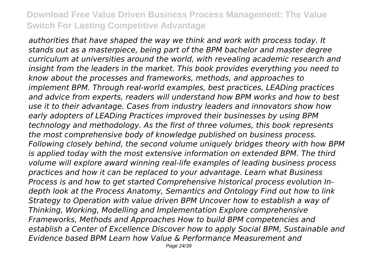*authorities that have shaped the way we think and work with process today. It stands out as a masterpiece, being part of the BPM bachelor and master degree curriculum at universities around the world, with revealing academic research and insight from the leaders in the market. This book provides everything you need to know about the processes and frameworks, methods, and approaches to implement BPM. Through real-world examples, best practices, LEADing practices and advice from experts, readers will understand how BPM works and how to best use it to their advantage. Cases from industry leaders and innovators show how early adopters of LEADing Practices improved their businesses by using BPM technology and methodology. As the first of three volumes, this book represents the most comprehensive body of knowledge published on business process. Following closely behind, the second volume uniquely bridges theory with how BPM is applied today with the most extensive information on extended BPM. The third volume will explore award winning real-life examples of leading business process practices and how it can be replaced to your advantage. Learn what Business Process is and how to get started Comprehensive historical process evolution Indepth look at the Process Anatomy, Semantics and Ontology Find out how to link Strategy to Operation with value driven BPM Uncover how to establish a way of Thinking, Working, Modelling and Implementation Explore comprehensive Frameworks, Methods and Approaches How to build BPM competencies and establish a Center of Excellence Discover how to apply Social BPM, Sustainable and Evidence based BPM Learn how Value & Performance Measurement and*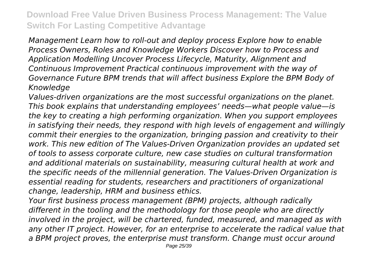*Management Learn how to roll-out and deploy process Explore how to enable Process Owners, Roles and Knowledge Workers Discover how to Process and Application Modelling Uncover Process Lifecycle, Maturity, Alignment and Continuous Improvement Practical continuous improvement with the way of Governance Future BPM trends that will affect business Explore the BPM Body of Knowledge*

*Values-driven organizations are the most successful organizations on the planet. This book explains that understanding employees' needs—what people value—is the key to creating a high performing organization. When you support employees in satisfying their needs, they respond with high levels of engagement and willingly commit their energies to the organization, bringing passion and creativity to their work. This new edition of The Values-Driven Organization provides an updated set of tools to assess corporate culture, new case studies on cultural transformation and additional materials on sustainability, measuring cultural health at work and the specific needs of the millennial generation. The Values-Driven Organization is essential reading for students, researchers and practitioners of organizational change, leadership, HRM and business ethics.*

*Your first business process management (BPM) projects, although radically different in the tooling and the methodology for those people who are directly involved in the project, will be chartered, funded, measured, and managed as with any other IT project. However, for an enterprise to accelerate the radical value that a BPM project proves, the enterprise must transform. Change must occur around*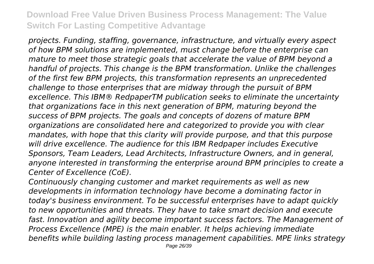*projects. Funding, staffing, governance, infrastructure, and virtually every aspect of how BPM solutions are implemented, must change before the enterprise can mature to meet those strategic goals that accelerate the value of BPM beyond a handful of projects. This change is the BPM transformation. Unlike the challenges of the first few BPM projects, this transformation represents an unprecedented challenge to those enterprises that are midway through the pursuit of BPM excellence. This IBM® RedpaperTM publication seeks to eliminate the uncertainty that organizations face in this next generation of BPM, maturing beyond the success of BPM projects. The goals and concepts of dozens of mature BPM organizations are consolidated here and categorized to provide you with clear mandates, with hope that this clarity will provide purpose, and that this purpose will drive excellence. The audience for this IBM Redpaper includes Executive Sponsors, Team Leaders, Lead Architects, Infrastructure Owners, and in general, anyone interested in transforming the enterprise around BPM principles to create a Center of Excellence (CoE).*

*Continuously changing customer and market requirements as well as new developments in information technology have become a dominating factor in today's business environment. To be successful enterprises have to adapt quickly to new opportunities and threats. They have to take smart decision and execute fast. Innovation and agility become important success factors. The Management of Process Excellence (MPE) is the main enabler. It helps achieving immediate benefits while building lasting process management capabilities. MPE links strategy*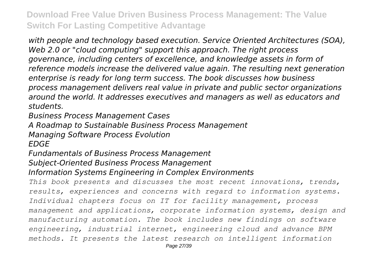*with people and technology based execution. Service Oriented Architectures (SOA), Web 2.0 or "cloud computing" support this approach. The right process governance, including centers of excellence, and knowledge assets in form of reference models increase the delivered value again. The resulting next generation enterprise is ready for long term success. The book discusses how business process management delivers real value in private and public sector organizations around the world. It addresses executives and managers as well as educators and students.*

*Business Process Management Cases*

*A Roadmap to Sustainable Business Process Management*

*Managing Software Process Evolution*

*EDGE*

*Fundamentals of Business Process Management*

*Subject-Oriented Business Process Management*

*Information Systems Engineering in Complex Environments*

*This book presents and discusses the most recent innovations, trends, results, experiences and concerns with regard to information systems. Individual chapters focus on IT for facility management, process management and applications, corporate information systems, design and manufacturing automation. The book includes new findings on software engineering, industrial internet, engineering cloud and advance BPM methods. It presents the latest research on intelligent information*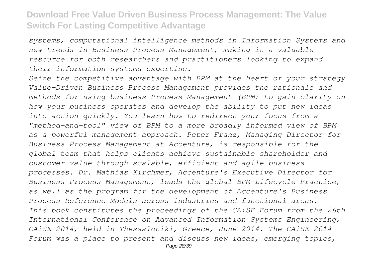*systems, computational intelligence methods in Information Systems and new trends in Business Process Management, making it a valuable resource for both researchers and practitioners looking to expand their information systems expertise.*

*Seize the competitive advantage with BPM at the heart of your strategy Value-Driven Business Process Management provides the rationale and methods for using business Process Management (BPM) to gain clarity on how your business operates and develop the ability to put new ideas into action quickly. You learn how to redirect your focus from a "method-and-tool" view of BPM to a more broadly informed view of BPM as a powerful management approach. Peter Franz, Managing Director for Business Process Management at Accenture, is responsible for the global team that helps clients achieve sustainable shareholder and customer value through scalable, efficient and agile business processes. Dr. Mathias Kirchmer, Accenture's Executive Director for Business Process Management, leads the global BPM-Lifecycle Practice, as well as the program for the development of Accenture's Business Process Reference Models across industries and functional areas. This book constitutes the proceedings of the CAiSE Forum from the 26th International Conference on Advanced Information Systems Engineering, CAiSE 2014, held in Thessaloniki, Greece, June 2014. The CAiSE 2014 Forum was a place to present and discuss new ideas, emerging topics,*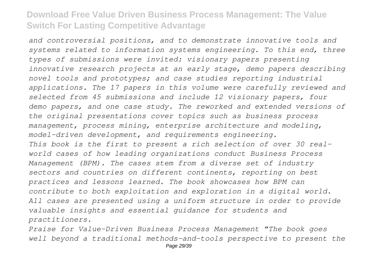*and controversial positions, and to demonstrate innovative tools and systems related to information systems engineering. To this end, three types of submissions were invited: visionary papers presenting innovative research projects at an early stage, demo papers describing novel tools and prototypes; and case studies reporting industrial applications. The 17 papers in this volume were carefully reviewed and selected from 45 submissions and include 12 visionary papers, four demo papers, and one case study. The reworked and extended versions of the original presentations cover topics such as business process management, process mining, enterprise architecture and modeling, model-driven development, and requirements engineering. This book is the first to present a rich selection of over 30 realworld cases of how leading organizations conduct Business Process Management (BPM). The cases stem from a diverse set of industry sectors and countries on different continents, reporting on best practices and lessons learned. The book showcases how BPM can contribute to both exploitation and exploration in a digital world. All cases are presented using a uniform structure in order to provide valuable insights and essential guidance for students and practitioners.*

*Praise for Value-Driven Business Process Management "The book goes well beyond a traditional methods-and-tools perspective to present the*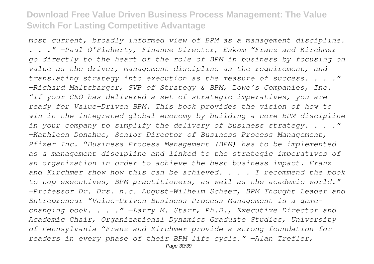*most current, broadly informed view of BPM as a management discipline. . . ." —Paul O'Flaherty, Finance Director, Eskom "Franz and Kirchmer go directly to the heart of the role of BPM in business by focusing on value as the driver, management discipline as the requirement, and translating strategy into execution as the measure of success. . . ." —Richard Maltsbarger, SVP of Strategy & BPM, Lowe's Companies, Inc. "If your CEO has delivered a set of strategic imperatives, you are ready for Value-Driven BPM. This book provides the vision of how to win in the integrated global economy by building a core BPM discipline in your company to simplify the delivery of business strategy. . . ." —Kathleen Donahue, Senior Director of Business Process Management, Pfizer Inc. "Business Process Management (BPM) has to be implemented as a management discipline and linked to the strategic imperatives of an organization in order to achieve the best business impact. Franz and Kirchmer show how this can be achieved. . . . I recommend the book to top executives, BPM practitioners, as well as the academic world." —Professor Dr. Drs. h.c. August-Wilhelm Scheer, BPM Thought Leader and Entrepreneur "Value-Driven Business Process Management is a gamechanging book. . . ." —Larry M. Starr, Ph.D., Executive Director and Academic Chair, Organizational Dynamics Graduate Studies, University of Pennsylvania "Franz and Kirchmer provide a strong foundation for readers in every phase of their BPM life cycle." —Alan Trefler,*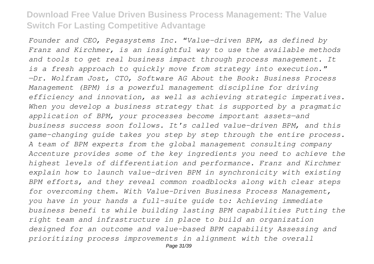*Founder and CEO, Pegasystems Inc. "Value-driven BPM, as defined by Franz and Kirchmer, is an insightful way to use the available methods and tools to get real business impact through process management. It is a fresh approach to quickly move from strategy into execution." —Dr. Wolfram Jost, CTO, Software AG About the Book: Business Process Management (BPM) is a powerful management discipline for driving efficiency and innovation, as well as achieving strategic imperatives. When you develop a business strategy that is supported by a pragmatic application of BPM, your processes become important assets—and business success soon follows. It's called value-driven BPM, and this game-changing guide takes you step by step through the entire process. A team of BPM experts from the global management consulting company Accenture provides some of the key ingredients you need to achieve the highest levels of differentiation and performance. Franz and Kirchmer explain how to launch value-driven BPM in synchronicity with existing BPM efforts, and they reveal common roadblocks along with clear steps for overcoming them. With Value-Driven Business Process Management, you have in your hands a full-suite guide to: Achieving immediate business benefi ts while building lasting BPM capabilities Putting the right team and infrastructure in place to build an organization designed for an outcome and value-based BPM capability Assessing and prioritizing process improvements in alignment with the overall*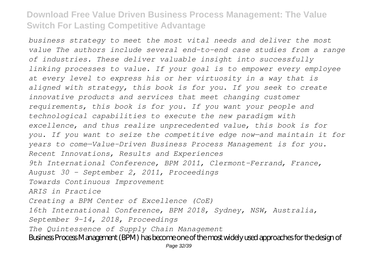*business strategy to meet the most vital needs and deliver the most value The authors include several end-to-end case studies from a range of industries. These deliver valuable insight into successfully linking processes to value. If your goal is to empower every employee at every level to express his or her virtuosity in a way that is aligned with strategy, this book is for you. If you seek to create innovative products and services that meet changing customer requirements, this book is for you. If you want your people and technological capabilities to execute the new paradigm with excellence, and thus realize unprecedented value, this book is for you. If you want to seize the competitive edge now—and maintain it for years to come—Value-Driven Business Process Management is for you. Recent Innovations, Results and Experiences 9th International Conference, BPM 2011, Clermont-Ferrand, France, August 30 - September 2, 2011, Proceedings Towards Continuous Improvement ARIS in Practice Creating a BPM Center of Excellence (CoE) 16th International Conference, BPM 2018, Sydney, NSW, Australia, September 9–14, 2018, Proceedings The Quintessence of Supply Chain Management* Business Process Management (BPM) has become one of the most widely used approaches for the design of Page 32/39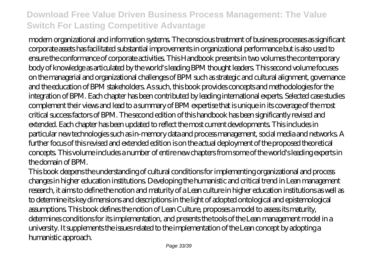modern organizational and information systems. The conscious treatment of business processes as significant corporate assets has facilitated substantial improvements in organizational performance but is also used to ensure the conformance of corporate activities. This Handbook presents in two volumes the contemporary body of knowledge as articulated by the world's leading BPM thought leaders. This second volume focuses on the managerial and organizational challenges of BPM such as strategic and cultural alignment, governance and the education of BPM stakeholders. As such, this book provides concepts and methodologies for the integration of BPM. Each chapter has been contributed by leading international experts. Selected case studies complement their views and lead to a summary of BPM expertise that is unique in its coverage of the most critical success factors of BPM. The second edition of this handbook has been significantly revised and extended. Each chapter has been updated to reflect the most current developments. This includes in particular new technologies such as in-memory data and process management, social media and networks. A further focus of this revised and extended edition is on the actual deployment of the proposed theoretical concepts. This volume includes a number of entire new chapters from some of the world's leading experts in the domain of BPM.

This book deepens the understanding of cultural conditions for implementing organizational and process changes in higher education institutions. Developing the humanistic and critical trend in Lean management research, it aims to define the notion and maturity of a Lean culture in higher education institutions as well as to determine its key dimensions and descriptions in the light of adopted ontological and epistemological assumptions. This book defines the notion of Lean Culture, proposes a model to assess its maturity, determines conditions for its implementation, and presents the tools of the Lean management model in a university. It supplements the issues related to the implementation of the Lean concept by adopting a humanistic approach.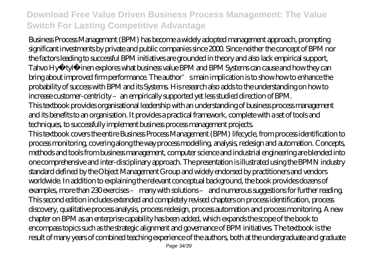Business Process Management (BPM) has become a widely adopted management approach, prompting significant investments by private and public companies since 2000. Since neither the concept of BPM nor the factors leading to successful BPM initiatives are grounded in theory and also lack empirical support, Tahvo Hyötylä inen explores what business value BPM and BPM Systems can cause and how they can bring about improved firm performance. The author's main implication is to show how to enhance the probability of success with BPM and its Systems. His research also adds to the understanding on how to increase customer-centricity - an empirically supported yet less studied direction of BPM. This textbook provides organisational leadership with an understanding of business process management and its benefits to an organisation. It provides a practical framework, complete with a set of tools and techniques, to successfully implement business process management projects. This textbook covers the entire Business Process Management (BPM) lifecycle, from process identification to process monitoring, covering along the way process modelling, analysis, redesign and automation. Concepts, methods and tools from business management, computer science and industrial engineering are blended into one comprehensive and inter-disciplinary approach. The presentation is illustrated using the BPMN industry standard defined by the Object Management Group and widely endorsed by practitioners and vendors worldwide. In addition to explaining the relevant conceptual background, the book provides dozens of examples, more than 230 exercises – many with solutions – and numerous suggestions for further reading. This second edition includes extended and completely revised chapters on process identification, process discovery, qualitative process analysis, process redesign, process automation and process monitoring. A new chapter on BPM as an enterprise capability has been added, which expands the scope of the book to encompass topics such as the strategic alignment and governance of BPM initiatives. The textbook is the result of many years of combined teaching experience of the authors, both at the undergraduate and graduate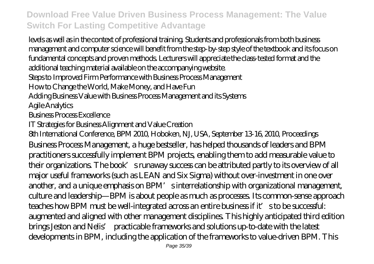levels as well as in the context of professional training. Students and professionals from both business management and computer science will benefit from the step-by-step style of the textbook and its focus on fundamental concepts and proven methods. Lecturers will appreciate the class-tested format and the additional teaching material available on the accompanying website. Steps to Improved Firm Performance with Business Process Management How to Change the World, Make Money, and Have Fun Adding Business Value with Business Process Management and its Systems Agile Analytics Business Process Excellence IT Strategies for Business Alignment and Value Creation 8th International Conference, BPM 2010, Hoboken, NJ, USA, September 13-16, 2010, Proceedings Business Process Management, a huge bestseller, has helped thousands of leaders and BPM practitioners successfully implement BPM projects, enabling them to add measurable value to their organizations. The book's runaway success can be attributed partly to its overview of all major useful frameworks (such as LEAN and Six Sigma) without over-investment in one over another, and a unique emphasis on BPM's interrelationship with organizational management, culture and leadership—BPM is about people as much as processes. Its common-sense approach teaches how BPM must be well-integrated across an entire business if it's to be successful: augmented and aligned with other management disciplines. This highly anticipated third edition brings Jeston and Nelis' practicable frameworks and solutions up-to-date with the latest

developments in BPM, including the application of the frameworks to value-driven BPM. This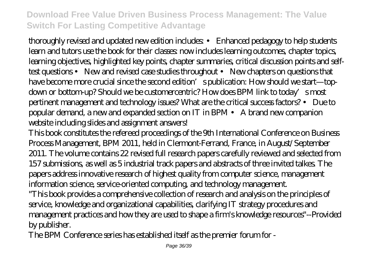thoroughly revised and updated new edition includes: • Enhanced pedagogy to help students learn and tutors use the book for their classes: now includes learning outcomes, chapter topics, learning objectives, highlighted key points, chapter summaries, critical discussion points and selftest questions • New and revised case studies throughout • New chapters on questions that have become more crucial since the second edition's publication: How should we start—topdown or bottom-up? Should we be customercentric? How does BPM link to today's most pertinent management and technology issues? What are the critical success factors? • Due to popular demand, a new and expanded section on IT in BPM • A brand new companion website including slides and assignment answers!

This book constitutes the refereed proceedings of the 9th International Conference on Business Process Management, BPM 2011, held in Clermont-Ferrand, France, in August/September 2011. The volume contains 22 revised full research papers carefully reviewed and selected from 157 submissions, as well as 5 industrial track papers and abstracts of three invited talkes. The papers address innovative research of highest quality from computer science, management information science, service-oriented computing, and technology management.

"This book provides a comprehensive collection of research and analysis on the principles of service, knowledge and organizational capabilities, clarifying IT strategy procedures and management practices and how they are used to shape a firm's knowledge resources"--Provided by publisher.

The BPM Conference series has established itself as the premier forum for -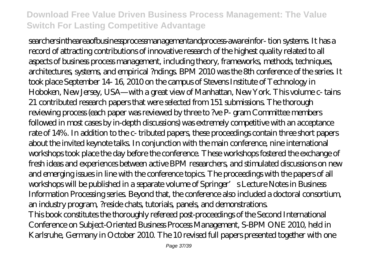searchersintheareaofbusinessprocessmanagementandprocess-awareinfor- tion systems. It has a record of attracting contributions of innovative research of the highest quality related to all aspects of business process management, including theory, frameworks, methods, techniques, architectures, systems, and empirical ?ndings. BPM 2010 was the 8th conference of the series. It took place September 14- 16, 2010 on the campus of Stevens Institute of Technology in Hoboken, New Jersey, USA—with a great view of Manhattan, New York. This volume c- tains 21 contributed research papers that were selected from 151 submissions. The thorough reviewing process (each paper was reviewed by three to ?ve P- gram Committee members followed in most cases by in-depth discussions) was extremely competitive with an acceptance rate of 14%. In addition to the c- tributed papers, these proceedings contain three short papers about the invited keynote talks. In conjunction with the main conference, nine international workshops took place the day before the conference. These workshops fostered the exchange of fresh ideas and experiences between active BPM researchers, and stimulated discussions on new and emerging issues in line with the conference topics. The proceedings with the papers of all workshops will be published in a separate volume of Springer's Lecture Notes in Business Information Processing series. Beyond that, the conference also included a doctoral consortium, an industry program, ?reside chats, tutorials, panels, and demonstrations. This book constitutes the thoroughly refereed post-proceedings of the Second International Conference on Subject-Oriented Business Process Management, S-BPM ONE 2010, held in Karlsruhe, Germany in October 2010. The 10 revised full papers presented together with one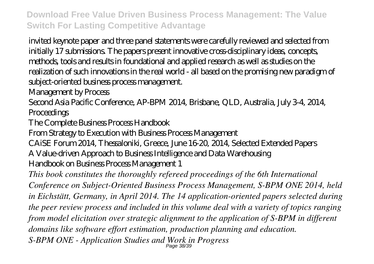invited keynote paper and three panel statements were carefully reviewed and selected from initially 17 submissions. The papers present innovative cross-disciplinary ideas, concepts, methods, tools and results in foundational and applied research as well as studies on the realization of such innovations in the real world - all based on the promising new paradigm of subject-oriented business process management.

Management by Process

Second Asia Pacific Conference, AP-BPM 2014, Brisbane, QLD, Australia, July 3-4, 2014, **Proceedings** 

The Complete Business Process Handbook

From Strategy to Execution with Business Process Management

CAiSE Forum 2014, Thessaloniki, Greece, June 16-20, 2014, Selected Extended Papers A Value-driven Approach to Business Intelligence and Data Warehousing Handbook on Business Process Management 1

*This book constitutes the thoroughly refereed proceedings of the 6th International Conference on Subject-Oriented Business Process Management, S-BPM ONE 2014, held in Eichstätt, Germany, in April 2014. The 14 application-oriented papers selected during the peer review process and included in this volume deal with a variety of topics ranging from model elicitation over strategic alignment to the application of S-BPM in different domains like software effort estimation, production planning and education.* S-BPM ONE - Application Studies and Work in Progress